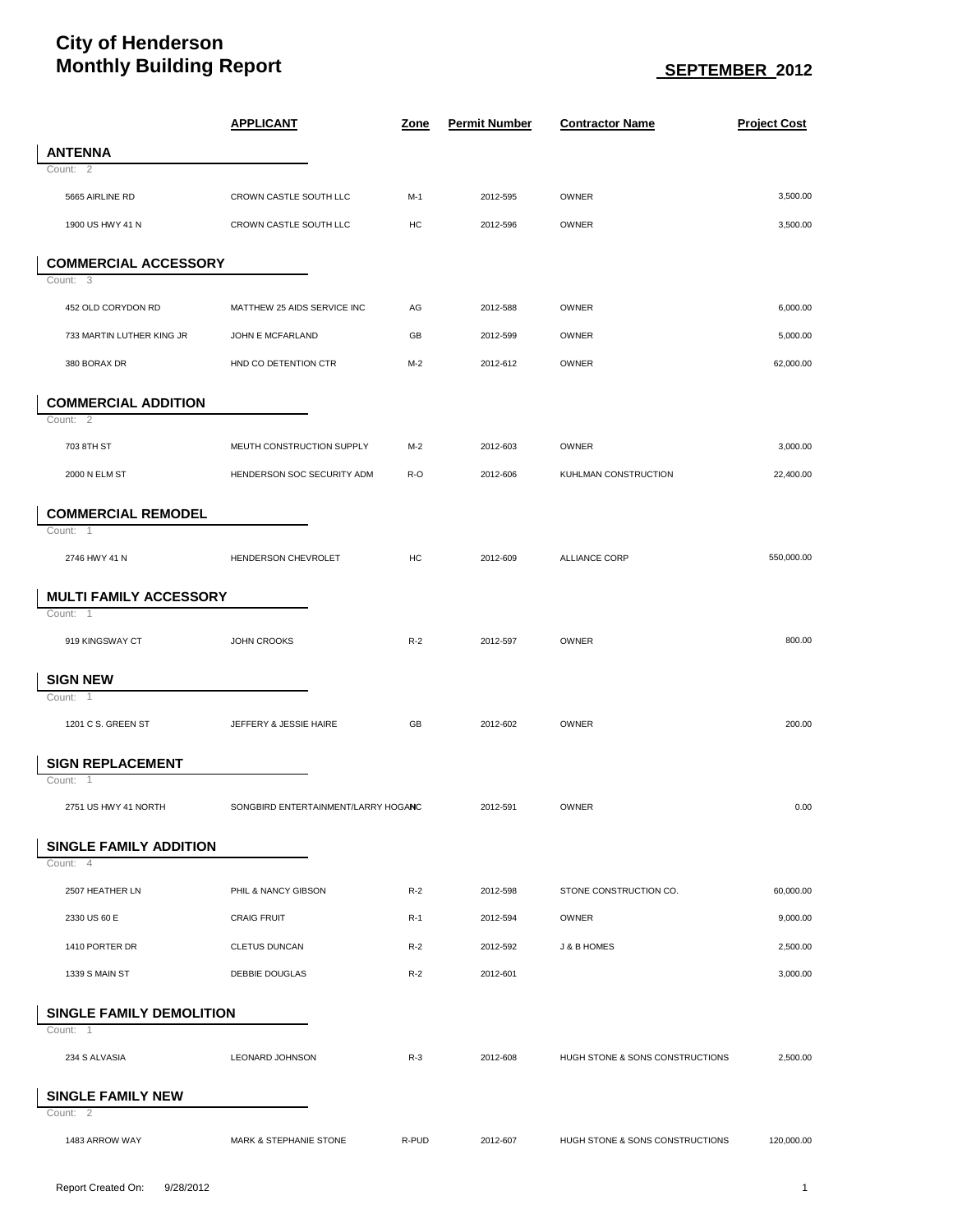## **City of Henderson Monthly Building Report**  $\underline{\hspace{1cm}}$  SEPTEMBER 2012

|                                 | <b>APPLICANT</b>                    | <u>Zone</u> | <b>Permit Number</b> | <b>Contractor Name</b>          | <b>Project Cost</b> |
|---------------------------------|-------------------------------------|-------------|----------------------|---------------------------------|---------------------|
| <b>ANTENNA</b>                  |                                     |             |                      |                                 |                     |
| Count: 2                        |                                     |             |                      |                                 |                     |
| 5665 AIRLINE RD                 | CROWN CASTLE SOUTH LLC              | $M-1$       | 2012-595             | OWNER                           | 3,500.00            |
| 1900 US HWY 41 N                | CROWN CASTLE SOUTH LLC              | HC          | 2012-596             | OWNER                           | 3,500.00            |
| <b>COMMERCIAL ACCESSORY</b>     |                                     |             |                      |                                 |                     |
| Count: 3                        |                                     |             |                      |                                 |                     |
| 452 OLD CORYDON RD              | MATTHEW 25 AIDS SERVICE INC         | AG          | 2012-588             | OWNER                           | 6,000.00            |
| 733 MARTIN LUTHER KING JR       | JOHN E MCFARLAND                    | GB          | 2012-599             | OWNER                           | 5,000.00            |
| 380 BORAX DR                    | HND CO DETENTION CTR                | $M-2$       | 2012-612             | OWNER                           | 62,000.00           |
| <b>COMMERCIAL ADDITION</b>      |                                     |             |                      |                                 |                     |
| Count: 2                        |                                     |             |                      |                                 |                     |
| 703 8TH ST                      | MEUTH CONSTRUCTION SUPPLY           | $M-2$       | 2012-603             | <b>OWNER</b>                    | 3,000.00            |
| 2000 N ELM ST                   | HENDERSON SOC SECURITY ADM          | R-O         | 2012-606             | KUHLMAN CONSTRUCTION            | 22,400.00           |
| <b>COMMERCIAL REMODEL</b>       |                                     |             |                      |                                 |                     |
| Count: 1                        |                                     |             |                      |                                 |                     |
| 2746 HWY 41 N                   | HENDERSON CHEVROLET                 | HC          | 2012-609             | <b>ALLIANCE CORP</b>            | 550,000.00          |
| <b>MULTI FAMILY ACCESSORY</b>   |                                     |             |                      |                                 |                     |
| Count: 1                        |                                     |             |                      |                                 |                     |
| 919 KINGSWAY CT                 | JOHN CROOKS                         | $R-2$       | 2012-597             | OWNER                           | 800.00              |
| <b>SIGN NEW</b>                 |                                     |             |                      |                                 |                     |
| Count: 1                        |                                     |             |                      |                                 |                     |
| 1201 C S. GREEN ST              | JEFFERY & JESSIE HAIRE              | GB          | 2012-602             | OWNER                           | 200.00              |
| <b>SIGN REPLACEMENT</b>         |                                     |             |                      |                                 |                     |
| Count: 1                        |                                     |             |                      |                                 |                     |
| 2751 US HWY 41 NORTH            | SONGBIRD ENTERTAINMENT/LARRY HOGANC |             | 2012-591             | OWNER                           | 0.00                |
| <b>SINGLE FAMILY ADDITION</b>   |                                     |             |                      |                                 |                     |
| Count: 4                        |                                     |             |                      |                                 |                     |
| 2507 HEATHER LN                 | PHIL & NANCY GIBSON                 | $R-2$       | 2012-598             | STONE CONSTRUCTION CO.          | 60,000.00           |
| 2330 US 60 E                    | <b>CRAIG FRUIT</b>                  | $R-1$       | 2012-594             | OWNER                           | 9,000.00            |
| 1410 PORTER DR                  | <b>CLETUS DUNCAN</b>                | $R-2$       | 2012-592             | J & B HOMES                     | 2,500.00            |
| 1339 S MAIN ST                  | <b>DEBBIE DOUGLAS</b>               | $R-2$       | 2012-601             |                                 | 3,000.00            |
| <b>SINGLE FAMILY DEMOLITION</b> |                                     |             |                      |                                 |                     |
| Count: 1                        |                                     |             |                      |                                 |                     |
| 234 S ALVASIA                   | <b>LEONARD JOHNSON</b>              | $R-3$       | 2012-608             | HUGH STONE & SONS CONSTRUCTIONS | 2,500.00            |
| <b>SINGLE FAMILY NEW</b>        |                                     |             |                      |                                 |                     |
| Count: 2                        |                                     |             |                      |                                 |                     |
| 1483 ARROW WAY                  | MARK & STEPHANIE STONE              | R-PUD       | 2012-607             | HUGH STONE & SONS CONSTRUCTIONS | 120,000.00          |